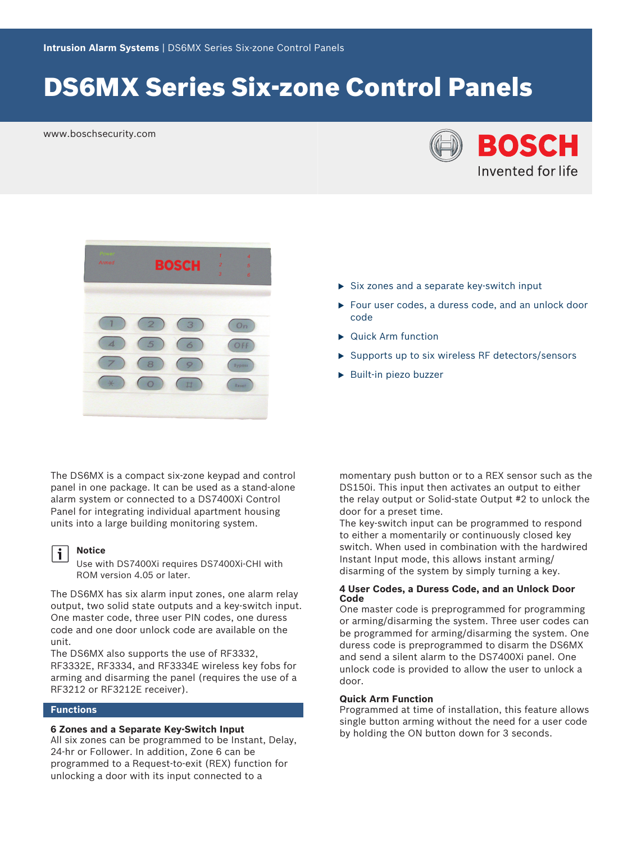# DS6MX Series Six-zone Control Panels

www.boschsecurity.com





The DS6MX is a compact six-zone keypad and control panel in one package. It can be used as a stand-alone alarm system or connected to a DS7400Xi Control Panel for integrating individual apartment housing units into a large building monitoring system.

#### **Notice**  $\mathbf i$

Use with DS7400Xi requires DS7400Xi-CHI with ROM version 4.05 or later.

The DS6MX has six alarm input zones, one alarm relay output, two solid state outputs and a key-switch input. One master code, three user PIN codes, one duress code and one door unlock code are available on the unit.

The DS6MX also supports the use of RF3332, RF3332E, RF3334, and RF3334E wireless key fobs for arming and disarming the panel (requires the use of a RF3212 or RF3212E receiver).

## **Functions**

#### **6 Zones and a Separate Key-Switch Input**

All six zones can be programmed to be Instant, Delay, 24-hr or Follower. In addition, Zone 6 can be programmed to a Request-to-exit (REX) function for unlocking a door with its input connected to a

- $\triangleright$  Six zones and a separate key-switch input
- $\blacktriangleright$  Four user codes, a duress code, and an unlock door code
- $\blacktriangleright$  Quick Arm function
- $\triangleright$  Supports up to six wireless RF detectors/sensors
- $\blacktriangleright$  Built-in piezo buzzer

momentary push button or to a REX sensor such as the DS150i. This input then activates an output to either the relay output or Solid-state Output #2 to unlock the door for a preset time.

The key-switch input can be programmed to respond to either a momentarily or continuously closed key switch. When used in combination with the hardwired Instant Input mode, this allows instant arming/ disarming of the system by simply turning a key.

#### **4 User Codes, a Duress Code, and an Unlock Door Code**

One master code is preprogrammed for programming or arming/disarming the system. Three user codes can be programmed for arming/disarming the system. One duress code is preprogrammed to disarm the DS6MX and send a silent alarm to the DS7400Xi panel. One unlock code is provided to allow the user to unlock a door.

#### **Quick Arm Function**

Programmed at time of installation, this feature allows single button arming without the need for a user code by holding the ON button down for 3 seconds.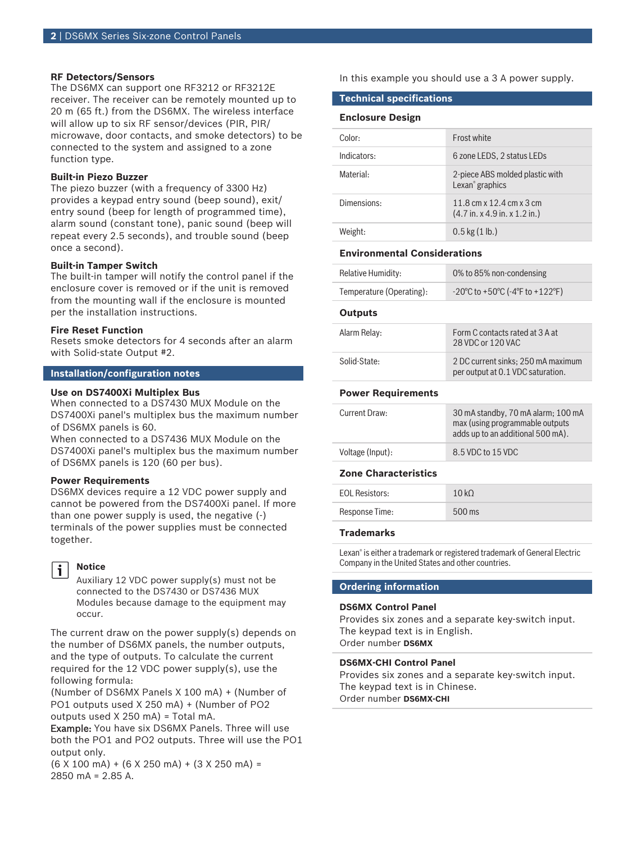#### **RF Detectors/Sensors**

The DS6MX can support one RF3212 or RF3212E receiver. The receiver can be remotely mounted up to 20 m (65 ft.) from the DS6MX. The wireless interface will allow up to six RF sensor/devices (PIR, PIR/ microwave, door contacts, and smoke detectors) to be connected to the system and assigned to a zone function type.

### **Built-in Piezo Buzzer**

The piezo buzzer (with a frequency of 3300 Hz) provides a keypad entry sound (beep sound), exit/ entry sound (beep for length of programmed time), alarm sound (constant tone), panic sound (beep will repeat every 2.5 seconds), and trouble sound (beep once a second).

#### **Built-in Tamper Switch**

The built-in tamper will notify the control panel if the enclosure cover is removed or if the unit is removed from the mounting wall if the enclosure is mounted per the installation instructions.

#### **Fire Reset Function**

Resets smoke detectors for 4 seconds after an alarm with Solid-state Output #2.

#### **Installation/configuration notes**

#### **Use on DS7400Xi Multiplex Bus**

When connected to a DS7430 MUX Module on the DS7400Xi panel's multiplex bus the maximum number of DS6MX panels is 60.

When connected to a DS7436 MUX Module on the DS7400Xi panel's multiplex bus the maximum number of DS6MX panels is 120 (60 per bus).

#### **Power Requirements**

DS6MX devices require a 12 VDC power supply and cannot be powered from the DS7400Xi panel. If more than one power supply is used, the negative (-) terminals of the power supplies must be connected together.

#### **Notice** Ť

Auxiliary 12 VDC power supply(s) must not be connected to the DS7430 or DS7436 MUX Modules because damage to the equipment may occur.

The current draw on the power supply(s) depends on the number of DS6MX panels, the number outputs, and the type of outputs. To calculate the current required for the 12 VDC power supply(s), use the following formula:

(Number of DS6MX Panels X 100 mA) + (Number of PO1 outputs used X 250 mA) + (Number of PO2 outputs used X 250 mA) = Total mA.

Example: You have six DS6MX Panels. Three will use both the PO1 and PO2 outputs. Three will use the PO1 output only.

 $(6 \times 100 \text{ mA}) + (6 \times 250 \text{ mA}) + (3 \times 250 \text{ mA}) =$ 2850 mA = 2.85 A.

In this example you should use a 3 A power supply.

### **Technical specifications**

### **Enclosure Design**

| Color:      | Frost white                                                                           |
|-------------|---------------------------------------------------------------------------------------|
| Indicators: | 6 zone LEDS, 2 status LEDs                                                            |
| Material:   | 2-piece ABS molded plastic with<br>Lexan <sup>®</sup> graphics                        |
| Dimensions: | 11.8 cm x 12.4 cm x 3 cm<br>$(4.7 \text{ in. x } 4.9 \text{ in. x } 1.2 \text{ in.})$ |
| Weight:     | $0.5$ kg $(1$ lb.)                                                                    |

#### **Environmental Considerations**

| Relative Humidity:       | 0% to 85% non-condensing                                                   |
|--------------------------|----------------------------------------------------------------------------|
| Temperature (Operating): | $-20^{\circ}$ C to +50 $^{\circ}$ C (-4 $^{\circ}$ F to +122 $^{\circ}$ F) |

#### **Outputs**

| Alarm Relay: | Form C contacts rated at 3 A at<br>28 VDC or 120 VAC                    |
|--------------|-------------------------------------------------------------------------|
| Solid-State: | 2 DC current sinks: 250 mA maximum<br>per output at 0.1 VDC saturation. |

#### **Power Requirements**

| Current Draw:    | 30 mA standby, 70 mA alarm; 100 mA<br>max (using programmable outputs<br>adds up to an additional 500 mA). |
|------------------|------------------------------------------------------------------------------------------------------------|
| Voltage (Input): | 8.5 VDC to 15 VDC                                                                                          |

### **Zone Characteristics**

| Response Time:<br>$500$ ms | <b>EOL Resistors:</b> | 10kO |
|----------------------------|-----------------------|------|
|                            |                       |      |

#### **Trademarks**

Lexan® is either a trademark or registered trademark of General Electric Company in the United States and other countries.

# **Ordering information**

#### **DS6MX Control Panel**

Provides six zones and a separate key-switch input. The keypad text is in English. Order number **DS6MX**

#### **DS6MX‑CHI Control Panel**

Provides six zones and a separate key-switch input. The keypad text is in Chinese. Order number **DS6MX-CHI**